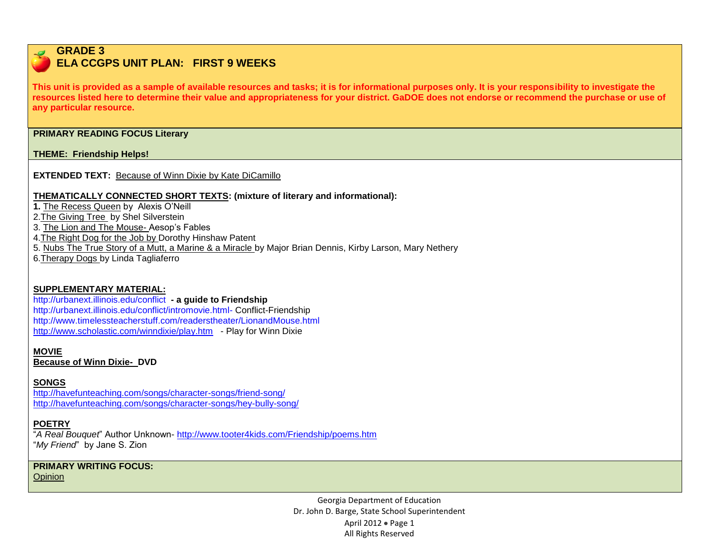# **GRADE 3**

# **ELA CCGPS UNIT PLAN: FIRST 9 WEEKS**

**This unit is provided as a sample of available resources and tasks; it is for informational purposes only. It is your responsibility to investigate the resources listed here to determine their value and appropriateness for your district. GaDOE does not endorse or recommend the purchase or use of any particular resource.**

#### **PRIMARY READING FOCUS Literary**

## **THEME: Friendship Helps!**

**EXTENDED TEXT:** Because of Winn Dixie by Kate DiCamillo

## **THEMATICALLY CONNECTED SHORT TEXTS: (mixture of literary and informational):**

**1.** The Recess Queen by Alexis O'Neill

2.The Giving Tree by Shel Silverstein

3. The Lion and The Mouse- Aesop's Fables

4.The Right Dog for the Job by Dorothy Hinshaw Patent

5. Nubs The True Story of a Mutt, a Marine & a Miracle by Major Brian Dennis, Kirby Larson, Mary Nethery

6.Therapy Dogs by Linda Tagliaferro

## **SUPPLEMENTARY MATERIAL:**

#### <http://urbanext.illinois.edu/conflict> **- a guide to Friendship** <http://urbanext.illinois.edu/conflict/intromovie.html-> Conflict-Friendship <http://www.timelessteacherstuff.com/readerstheater/LionandMouse.html>

<http://www.scholastic.com/winndixie/play.htm>- Play for Winn Dixie

## **MOVIE**

**Because of Winn Dixie- DVD**

## **SONGS**

<http://havefunteaching.com/songs/character-songs/friend-song/> <http://havefunteaching.com/songs/character-songs/hey-bully-song/>

## **POETRY**

"*A Real Bouquet*" Author Unknown- <http://www.tooter4kids.com/Friendship/poems.htm> "*My Friend*" by Jane S. Zion

**PRIMARY WRITING FOCUS:**  Opinion

> Georgia Department of Education Dr. John D. Barge, State School Superintendent April 2012  $\bullet$  Page 1 All Rights Reserved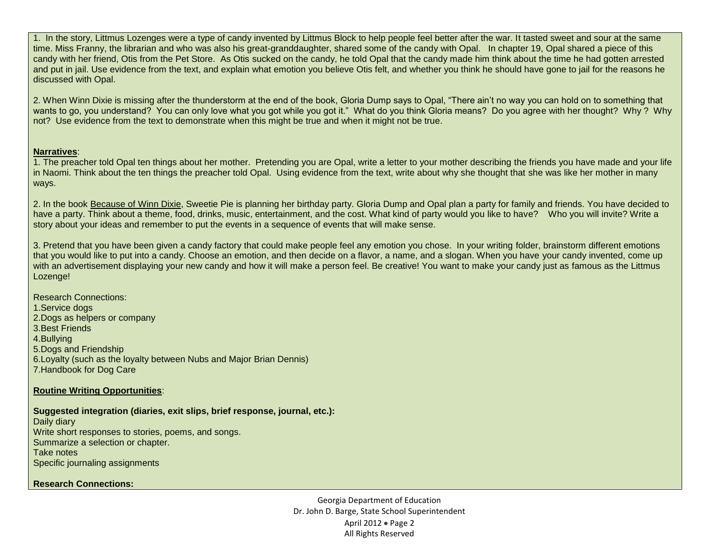1. In the story, Littmus Lozenges were a type of candy invented by Littmus Block to help people feel better after the war. It tasted sweet and sour at the same time. Miss Franny, the librarian and who was also his great-granddaughter, shared some of the candy with Opal. In chapter 19, Opal shared a piece of this candy with her friend, Otis from the Pet Store. As Otis sucked on the candy, he told Opal that the candy made him think about the time he had gotten arrested and put in jail. Use evidence from the text, and explain what emotion you believe Otis felt, and whether you think he should have gone to jail for the reasons he discussed with Opal.

2. When Winn Dixie is missing after the thunderstorm at the end of the book, Gloria Dump says to Opal, "There ain't no way you can hold on to something that wants to go, you understand? You can only love what you got while you got it." What do you think Gloria means? Do you agree with her thought? Why ? Why not? Use evidence from the text to demonstrate when this might be true and when it might not be true.

#### **Narratives**:

1. The preacher told Opal ten things about her mother. Pretending you are Opal, write a letter to your mother describing the friends you have made and your life in Naomi. Think about the ten things the preacher told Opal. Using evidence from the text, write about why she thought that she was like her mother in many ways.

2. In the book Because of Winn Dixie, Sweetie Pie is planning her birthday party. Gloria Dump and Opal plan a party for family and friends. You have decided to have a party. Think about a theme, food, drinks, music, entertainment, and the cost. What kind of party would you like to have? Who you will invite? Write a story about your ideas and remember to put the events in a sequence of events that will make sense.

3. Pretend that you have been given a candy factory that could make people feel any emotion you chose. In your writing folder, brainstorm different emotions that you would like to put into a candy. Choose an emotion, and then decide on a flavor, a name, and a slogan. When you have your candy invented, come up with an advertisement displaying your new candy and how it will make a person feel. Be creative! You want to make your candy just as famous as the Littmus Lozenge!

Research Connections: 1.Service dogs 2.Dogs as helpers or company 3.Best Friends 4.Bullying 5.Dogs and Friendship 6.Loyalty (such as the loyalty between Nubs and Major Brian Dennis) 7.Handbook for Dog Care

#### **Routine Writing Opportunities**:

**Suggested integration (diaries, exit slips, brief response, journal, etc.):**

Daily diary Write short responses to stories, poems, and songs. Summarize a selection or chapter. Take notes Specific journaling assignments

**Research Connections:**

Georgia Department of Education Dr. John D. Barge, State School Superintendent April 2012 • Page 2 All Rights Reserved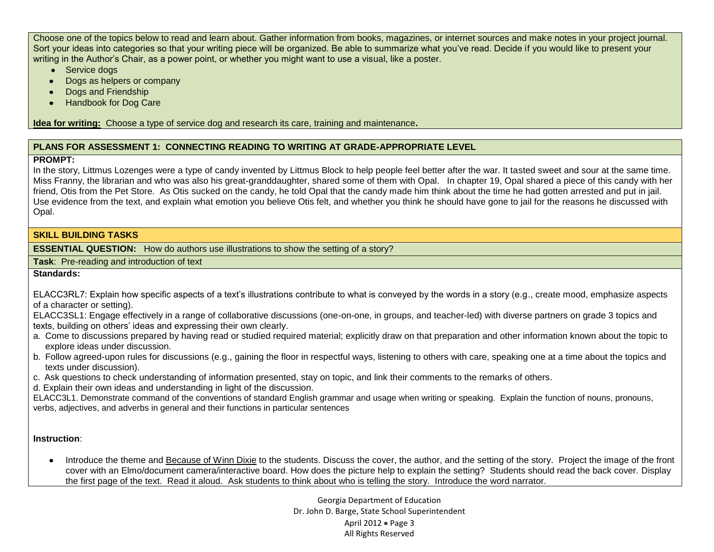Choose one of the topics below to read and learn about. Gather information from books, magazines, or internet sources and make notes in your project journal. Sort your ideas into categories so that your writing piece will be organized. Be able to summarize what you've read. Decide if you would like to present your writing in the Author's Chair, as a power point, or whether you might want to use a visual, like a poster.

- Service dogs
- Dogs as helpers or company  $\bullet$
- Dogs and Friendship  $\bullet$
- Handbook for Dog Care

**Idea for writing:** Choose a type of service dog and research its care, training and maintenance**.**

## **PLANS FOR ASSESSMENT 1: CONNECTING READING TO WRITING AT GRADE-APPROPRIATE LEVEL**

## **PROMPT:**

In the story, Littmus Lozenges were a type of candy invented by Littmus Block to help people feel better after the war. It tasted sweet and sour at the same time. Miss Franny, the librarian and who was also his great-granddaughter, shared some of them with Opal. In chapter 19, Opal shared a piece of this candy with her friend, Otis from the Pet Store. As Otis sucked on the candy, he told Opal that the candy made him think about the time he had gotten arrested and put in jail. Use evidence from the text, and explain what emotion you believe Otis felt, and whether you think he should have gone to jail for the reasons he discussed with Opal.

#### **SKILL BUILDING TASKS**

**ESSENTIAL QUESTION:** How do authors use illustrations to show the setting of a story?

**Task**: Pre-reading and introduction of text

## **Standards:**

ELACC3RL7: Explain how specific aspects of a text's illustrations contribute to what is conveyed by the words in a story (e.g., create mood, emphasize aspects of a character or setting).

ELACC3SL1: Engage effectively in a range of collaborative discussions (one-on-one, in groups, and teacher-led) with diverse partners on grade 3 topics and texts, building on others' ideas and expressing their own clearly.

- a. Come to discussions prepared by having read or studied required material; explicitly draw on that preparation and other information known about the topic to explore ideas under discussion.
- b. Follow agreed-upon rules for discussions (e.g., gaining the floor in respectful ways, listening to others with care, speaking one at a time about the topics and texts under discussion).
- c. Ask questions to check understanding of information presented, stay on topic, and link their comments to the remarks of others.

d. Explain their own ideas and understanding in light of the discussion.

ELACC3L1. Demonstrate command of the conventions of standard English grammar and usage when writing or speaking. Explain the function of nouns, pronouns, verbs, adjectives, and adverbs in general and their functions in particular sentences

## **Instruction**:

Introduce the theme and Because of Winn Dixie to the students. Discuss the cover, the author, and the setting of the story. Project the image of the front cover with an Elmo/document camera/interactive board. How does the picture help to explain the setting? Students should read the back cover. Display the first page of the text. Read it aloud. Ask students to think about who is telling the story. Introduce the word narrator.

> Georgia Department of Education Dr. John D. Barge, State School Superintendent April 2012 • Page 3 All Rights Reserved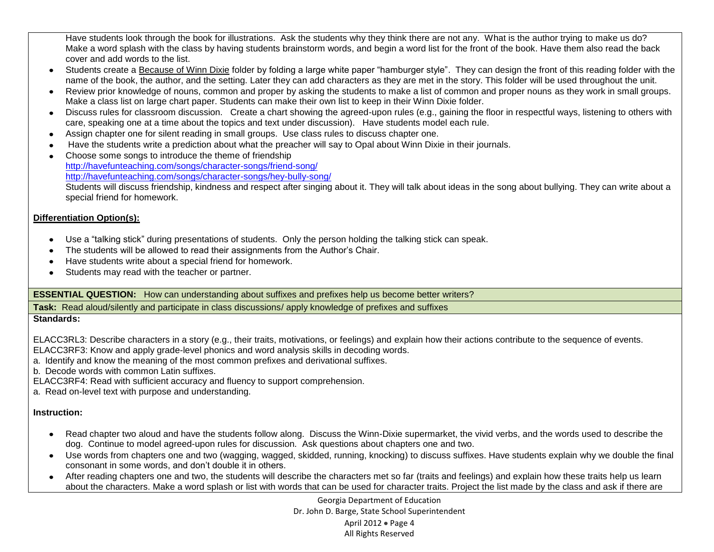Have students look through the book for illustrations. Ask the students why they think there are not any. What is the author trying to make us do? Make a word splash with the class by having students brainstorm words, and begin a word list for the front of the book. Have them also read the back cover and add words to the list.

- Students create a Because of Winn Dixie folder by folding a large white paper "hamburger style". They can design the front of this reading folder with the name of the book, the author, and the setting. Later they can add characters as they are met in the story. This folder will be used throughout the unit.
- Review prior knowledge of nouns, common and proper by asking the students to make a list of common and proper nouns as they work in small groups. Make a class list on large chart paper. Students can make their own list to keep in their Winn Dixie folder.
- Discuss rules for classroom discussion. Create a chart showing the agreed-upon rules (e.g., gaining the floor in respectful ways, listening to others with care, speaking one at a time about the topics and text under discussion). Have students model each rule.
- Assign chapter one for silent reading in small groups. Use class rules to discuss chapter one.
- Have the students write a prediction about what the preacher will say to Opal about Winn Dixie in their journals.
- Choose some songs to introduce the theme of friendship <http://havefunteaching.com/songs/character-songs/friend-song/> <http://havefunteaching.com/songs/character-songs/hey-bully-song/> Students will discuss friendship, kindness and respect after singing about it. They will talk about ideas in the song about bullying. They can write about a special friend for homework.

## **Differentiation Option(s):**

- $\bullet$ Use a "talking stick" during presentations of students. Only the person holding the talking stick can speak.
- The students will be allowed to read their assignments from the Author's Chair.
- Have students write about a special friend for homework.  $\bullet$
- Students may read with the teacher or partner.

## **ESSENTIAL QUESTION:** How can understanding about suffixes and prefixes help us become better writers?

**Task:** Read aloud/silently and participate in class discussions/ apply knowledge of prefixes and suffixes

## **Standards:**

ELACC3RL3: Describe characters in a story (e.g., their traits, motivations, or feelings) and explain how their actions contribute to the sequence of events. ELACC3RF3: Know and apply grade-level phonics and word analysis skills in decoding words.

- a. Identify and know the meaning of the most common prefixes and derivational suffixes.
- b. Decode words with common Latin suffixes.
- ELACC3RF4: Read with sufficient accuracy and fluency to support comprehension.
- a. Read on-level text with purpose and understanding.

## **Instruction:**

- Read chapter two aloud and have the students follow along. Discuss the Winn-Dixie supermarket, the vivid verbs, and the words used to describe the  $\bullet$  . dog. Continue to model agreed-upon rules for discussion. Ask questions about chapters one and two.
- Use words from chapters one and two (wagging, wagged, skidded, running, knocking) to discuss suffixes. Have students explain why we double the final consonant in some words, and don't double it in others.
- After reading chapters one and two, the students will describe the characters met so far (traits and feelings) and explain how these traits help us learn about the characters. Make a word splash or list with words that can be used for character traits. Project the list made by the class and ask if there are

Georgia Department of Education Dr. John D. Barge, State School Superintendent April 2012  $\bullet$  Page 4 All Rights Reserved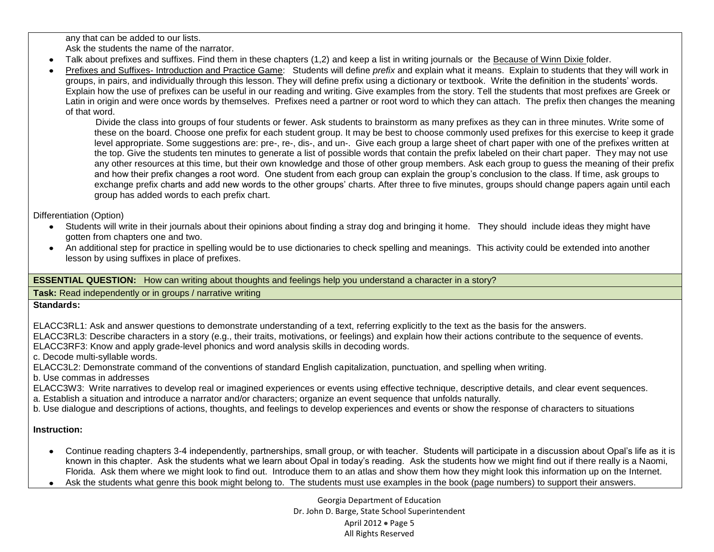any that can be added to our lists.

Ask the students the name of the narrator.

- Talk about prefixes and suffixes. Find them in these chapters (1,2) and keep a list in writing journals or the Because of Winn Dixie folder.
- Prefixes and Suffixes- Introduction and Practice Game: Students will define *prefix* and explain what it means. Explain to students that they will work in groups, in pairs, and individually through this lesson. They will define prefix using a dictionary or textbook. Write the definition in the students' words. Explain how the use of prefixes can be useful in our reading and writing. Give examples from the story. Tell the students that most prefixes are Greek or Latin in origin and were once words by themselves. Prefixes need a partner or root word to which they can attach. The prefix then changes the meaning of that word.

 Divide the class into groups of four students or fewer. Ask students to brainstorm as many prefixes as they can in three minutes. Write some of these on the board. Choose one prefix for each student group. It may be best to choose commonly used prefixes for this exercise to keep it grade level appropriate. Some suggestions are: pre-, re-, dis-, and un-. Give each group a large sheet of chart paper with one of the prefixes written at the top. Give the students ten minutes to generate a list of possible words that contain the prefix labeled on their chart paper. They may not use any other resources at this time, but their own knowledge and those of other group members. Ask each group to guess the meaning of their prefix and how their prefix changes a root word. One student from each group can explain the group's conclusion to the class. If time, ask groups to exchange prefix charts and add new words to the other groups' charts. After three to five minutes, groups should change papers again until each group has added words to each prefix chart.

Differentiation (Option)

- Students will write in their journals about their opinions about finding a stray dog and bringing it home. They should include ideas they might have gotten from chapters one and two.
- An additional step for practice in spelling would be to use dictionaries to check spelling and meanings. This activity could be extended into another lesson by using suffixes in place of prefixes.

**ESSENTIAL QUESTION:** How can writing about thoughts and feelings help you understand a character in a story?

**Task:** Read independently or in groups / narrative writing

**Standards:** 

ELACC3RL1: Ask and answer questions to demonstrate understanding of a text, referring explicitly to the text as the basis for the answers.

ELACC3RL3: Describe characters in a story (e.g., their traits, motivations, or feelings) and explain how their actions contribute to the sequence of events. ELACC3RF3: Know and apply grade-level phonics and word analysis skills in decoding words.

c. Decode multi-syllable words.

ELACC3L2: Demonstrate command of the conventions of standard English capitalization, punctuation, and spelling when writing.

b. Use commas in addresses

ELACC3W3: Write narratives to develop real or imagined experiences or events using effective technique, descriptive details, and clear event sequences. a. Establish a situation and introduce a narrator and/or characters; organize an event sequence that unfolds naturally.

b. Use dialogue and descriptions of actions, thoughts, and feelings to develop experiences and events or show the response of characters to situations

## **Instruction:**

- Continue reading chapters 3-4 independently, partnerships, small group, or with teacher. Students will participate in a discussion about Opal's life as it is known in this chapter. Ask the students what we learn about Opal in today's reading. Ask the students how we might find out if there really is a Naomi, Florida. Ask them where we might look to find out. Introduce them to an atlas and show them how they might look this information up on the Internet.
- Ask the students what genre this book might belong to. The students must use examples in the book (page numbers) to support their answers.

Georgia Department of Education Dr. John D. Barge, State School Superintendent April 2012  $\bullet$  Page 5 All Rights Reserved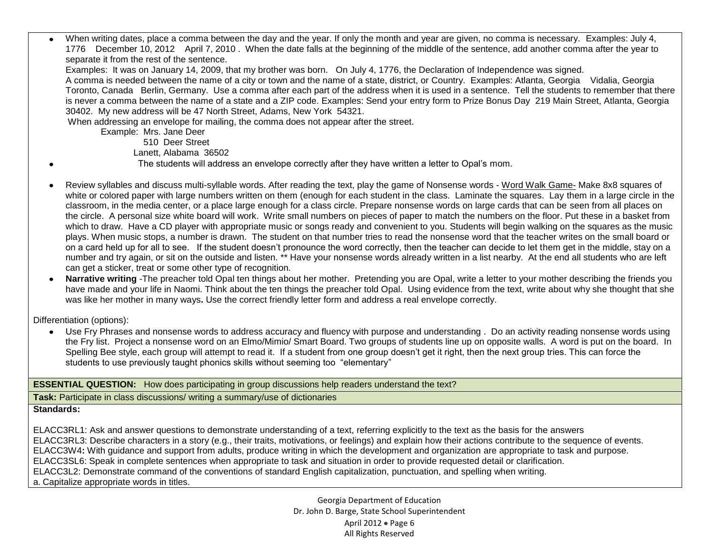When writing dates, place a comma between the day and the year. If only the month and year are given, no comma is necessary. Examples: July 4, 1776 December 10, 2012 April 7, 2010 . When the date falls at the beginning of the middle of the sentence, add another comma after the year to separate it from the rest of the sentence.

Examples: It was on January 14, 2009, that my brother was born. On July 4, 1776, the Declaration of Independence was signed.

A comma is needed between the name of a city or town and the name of a state, district, or Country. Examples: Atlanta, Georgia Vidalia, Georgia Toronto, Canada Berlin, Germany. Use a comma after each part of the address when it is used in a sentence. Tell the students to remember that there is never a comma between the name of a state and a ZIP code. Examples: Send your entry form to Prize Bonus Day 219 Main Street, Atlanta, Georgia 30402. My new address will be 47 North Street, Adams, New York 54321.

When addressing an envelope for mailing, the comma does not appear after the street.

Example: Mrs. Jane Deer

510 Deer Street

Lanett, Alabama 36502

- The students will address an envelope correctly after they have written a letter to Opal's mom.
- Review syllables and discuss multi-syllable words. After reading the text, play the game of Nonsense words Word Walk Game- Make 8x8 squares of white or colored paper with large numbers written on them (enough for each student in the class. Laminate the squares. Lay them in a large circle in the classroom, in the media center, or a place large enough for a class circle. Prepare nonsense words on large cards that can be seen from all places on the circle. A personal size white board will work. Write small numbers on pieces of paper to match the numbers on the floor. Put these in a basket from which to draw. Have a CD player with appropriate music or songs ready and convenient to you. Students will begin walking on the squares as the music plays. When music stops, a number is drawn. The student on that number tries to read the nonsense word that the teacher writes on the small board or on a card held up for all to see. If the student doesn't pronounce the word correctly, then the teacher can decide to let them get in the middle, stay on a number and try again, or sit on the outside and listen. \*\* Have your nonsense words already written in a list nearby. At the end all students who are left can get a sticker, treat or some other type of recognition.
- **Narrative writing** -The preacher told Opal ten things about her mother. Pretending you are Opal, write a letter to your mother describing the friends you have made and your life in Naomi. Think about the ten things the preacher told Opal. Using evidence from the text, write about why she thought that she was like her mother in many ways**.** Use the correct friendly letter form and address a real envelope correctly.

Differentiation (options):

Use Fry Phrases and nonsense words to address accuracy and fluency with purpose and understanding . Do an activity reading nonsense words using the Fry list. Project a nonsense word on an Elmo/Mimio/ Smart Board. Two groups of students line up on opposite walls. A word is put on the board. In Spelling Bee style, each group will attempt to read it. If a student from one group doesn't get it right, then the next group tries. This can force the students to use previously taught phonics skills without seeming too "elementary"

## **ESSENTIAL QUESTION:** How does participating in group discussions help readers understand the text?

**Task:** Participate in class discussions/ writing a summary/use of dictionaries

## **Standards:**

ELACC3RL1: Ask and answer questions to demonstrate understanding of a text, referring explicitly to the text as the basis for the answers ELACC3RL3: Describe characters in a story (e.g., their traits, motivations, or feelings) and explain how their actions contribute to the sequence of events. ELACC3W4**:** With guidance and support from adults, produce writing in which the development and organization are appropriate to task and purpose. ELACC3SL6: Speak in complete sentences when appropriate to task and situation in order to provide requested detail or clarification. ELACC3L2: Demonstrate command of the conventions of standard English capitalization, punctuation, and spelling when writing. a. Capitalize appropriate words in titles.

> Georgia Department of Education Dr. John D. Barge, State School Superintendent April 2012  $\bullet$  Page 6 All Rights Reserved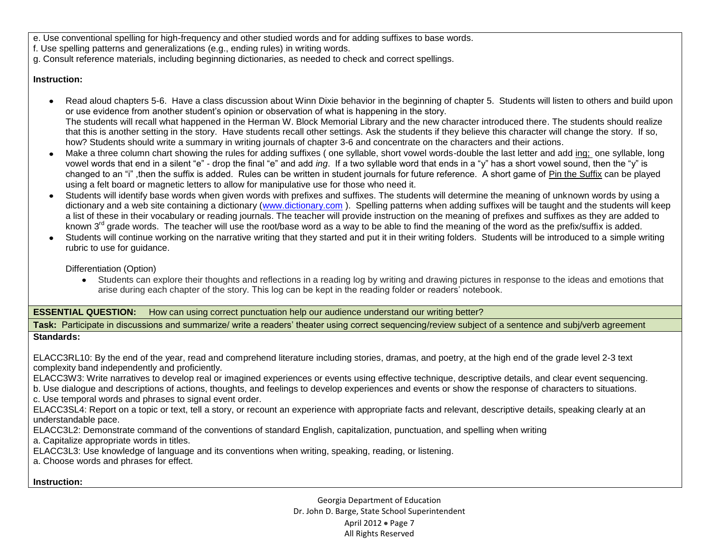e. Use conventional spelling for high-frequency and other studied words and for adding suffixes to base words.

f. Use spelling patterns and generalizations (e.g., ending rules) in writing words.

g. Consult reference materials, including beginning dictionaries, as needed to check and correct spellings.

## **Instruction:**

- Read aloud chapters 5-6. Have a class discussion about Winn Dixie behavior in the beginning of chapter 5. Students will listen to others and build upon or use evidence from another student's opinion or observation of what is happening in the story. The students will recall what happened in the Herman W. Block Memorial Library and the new character introduced there. The students should realize that this is another setting in the story. Have students recall other settings. Ask the students if they believe this character will change the story. If so, how? Students should write a summary in writing journals of chapter 3-6 and concentrate on the characters and their actions.
- Make a three column chart showing the rules for adding suffixes (one syllable, short vowel words-double the last letter and add ing; one syllable, long  $\bullet$ vowel words that end in a silent "e" - drop the final "e" and add *ing*. If a two syllable word that ends in a "y" has a short vowel sound, then the "y" is changed to an "i" ,then the suffix is added. Rules can be written in student journals for future reference. A short game of Pin the Suffix can be played using a felt board or magnetic letters to allow for manipulative use for those who need it.
- Students will identify base words when given words with prefixes and suffixes. The students will determine the meaning of unknown words by using a  $\bullet$ dictionary and a web site containing a dictionary [\(www.dictionary.com](http://www.dictionary.com/)). Spelling patterns when adding suffixes will be taught and the students will keep a list of these in their vocabulary or reading journals. The teacher will provide instruction on the meaning of prefixes and suffixes as they are added to known 3<sup>rd</sup> grade words. The teacher will use the root/base word as a way to be able to find the meaning of the word as the prefix/suffix is added.
- Students will continue working on the narrative writing that they started and put it in their writing folders. Students will be introduced to a simple writing  $\bullet$ rubric to use for guidance.

Differentiation (Option)

Students can explore their thoughts and reflections in a reading log by writing and drawing pictures in response to the ideas and emotions that arise during each chapter of the story. This log can be kept in the reading folder or readers' notebook.

## **ESSENTIAL QUESTION:** How can using correct punctuation help our audience understand our writing better?

**Task:** Participate in discussions and summarize/ write a readers' theater using correct sequencing/review subject of a sentence and subj/verb agreement

## **Standards:**

ELACC3RL10: By the end of the year, read and comprehend literature including stories, dramas, and poetry, at the high end of the grade level 2-3 text complexity band independently and proficiently.

ELACC3W3: Write narratives to develop real or imagined experiences or events using effective technique, descriptive details, and clear event sequencing.

b. Use dialogue and descriptions of actions, thoughts, and feelings to develop experiences and events or show the response of characters to situations.

c. Use temporal words and phrases to signal event order.

ELACC3SL4: Report on a topic or text, tell a story, or recount an experience with appropriate facts and relevant, descriptive details, speaking clearly at an understandable pace.

ELACC3L2: Demonstrate command of the conventions of standard English, capitalization, punctuation, and spelling when writing

a. Capitalize appropriate words in titles.

ELACC3L3: Use knowledge of language and its conventions when writing, speaking, reading, or listening.

a. Choose words and phrases for effect.

## **Instruction:**

Georgia Department of Education Dr. John D. Barge, State School Superintendent April 2012 . Page 7 All Rights Reserved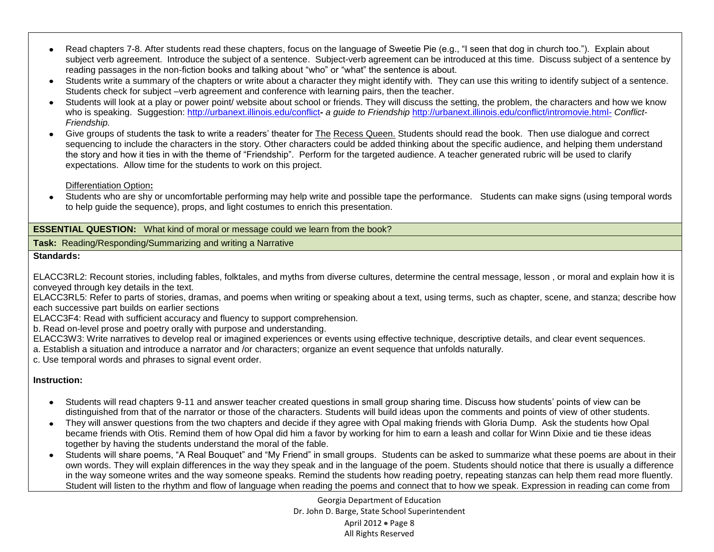- Read chapters 7-8. After students read these chapters, focus on the language of Sweetie Pie (e.g., "I seen that dog in church too."). Explain about  $\bullet$ subject verb agreement. Introduce the subject of a sentence. Subject-verb agreement can be introduced at this time. Discuss subject of a sentence by reading passages in the non-fiction books and talking about "who" or "what" the sentence is about.
- Students write a summary of the chapters or write about a character they might identify with. They can use this writing to identify subject of a sentence. Students check for subject –verb agreement and conference with learning pairs, then the teacher.
- Students will look at a play or power point/ website about school or friends. They will discuss the setting, the problem, the characters and how we know  $\bullet$ who is speaking. Suggestion:<http://urbanext.illinois.edu/conflict>**-** *a guide to Friendship* <http://urbanext.illinois.edu/conflict/intromovie.html-> *Conflict-Friendship.*
- Give groups of students the task to write a readers' theater for The Recess Queen. Students should read the book. Then use dialogue and correct sequencing to include the characters in the story. Other characters could be added thinking about the specific audience, and helping them understand the story and how it ties in with the theme of "Friendship". Perform for the targeted audience. A teacher generated rubric will be used to clarify expectations. Allow time for the students to work on this project.

Differentiation Option**:**

Students who are shy or uncomfortable performing may help write and possible tape the performance. Students can make signs (using temporal words to help guide the sequence), props, and light costumes to enrich this presentation.

**ESSENTIAL QUESTION:** What kind of moral or message could we learn from the book?

**Task:** Reading/Responding/Summarizing and writing a Narrative

## **Standards:**

ELACC3RL2: Recount stories, including fables, folktales, and myths from diverse cultures, determine the central message, lesson , or moral and explain how it is conveyed through key details in the text.

ELACC3RL5: Refer to parts of stories, dramas, and poems when writing or speaking about a text, using terms, such as chapter, scene, and stanza; describe how each successive part builds on earlier sections

ELACC3F4: Read with sufficient accuracy and fluency to support comprehension.

b. Read on-level prose and poetry orally with purpose and understanding.

ELACC3W3: Write narratives to develop real or imagined experiences or events using effective technique, descriptive details, and clear event sequences.

a. Establish a situation and introduce a narrator and /or characters; organize an event sequence that unfolds naturally.

c. Use temporal words and phrases to signal event order.

## **Instruction:**

- Students will read chapters 9-11 and answer teacher created questions in small group sharing time. Discuss how students' points of view can be distinguished from that of the narrator or those of the characters. Students will build ideas upon the comments and points of view of other students.
- They will answer questions from the two chapters and decide if they agree with Opal making friends with Gloria Dump. Ask the students how Opal became friends with Otis. Remind them of how Opal did him a favor by working for him to earn a leash and collar for Winn Dixie and tie these ideas together by having the students understand the moral of the fable.
- Students will share poems, "A Real Bouquet" and "My Friend" in small groups. Students can be asked to summarize what these poems are about in their  $\bullet$ own words. They will explain differences in the way they speak and in the language of the poem. Students should notice that there is usually a difference in the way someone writes and the way someone speaks. Remind the students how reading poetry, repeating stanzas can help them read more fluently. Student will listen to the rhythm and flow of language when reading the poems and connect that to how we speak. Expression in reading can come from

Georgia Department of Education Dr. John D. Barge, State School Superintendent April 2012  $\bullet$  Page 8 All Rights Reserved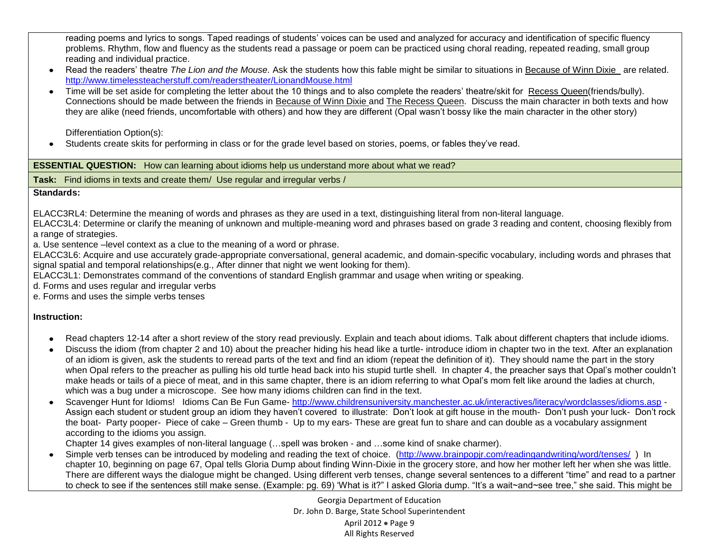reading poems and lyrics to songs. Taped readings of students' voices can be used and analyzed for accuracy and identification of specific fluency problems. Rhythm, flow and fluency as the students read a passage or poem can be practiced using choral reading, repeated reading, small group reading and individual practice.

- Read the readers' theatre *The Lion and the Mouse.* Ask the students how this fable might be similar to situations in Because of Winn Dixie are related. <http://www.timelessteacherstuff.com/readerstheater/LionandMouse.html>
- Time will be set aside for completing the letter about the 10 things and to also complete the readers' theatre/skit for Recess Queen(friends/bully). Connections should be made between the friends in Because of Winn Dixie and The Recess Queen. Discuss the main character in both texts and how they are alike (need friends, uncomfortable with others) and how they are different (Opal wasn't bossy like the main character in the other story)

Differentiation Option(s):

Students create skits for performing in class or for the grade level based on stories, poems, or fables they've read.

**ESSENTIAL QUESTION:** How can learning about idioms help us understand more about what we read?

**Task:** Find idioms in texts and create them/ Use regular and irregular verbs /

## **Standards:**

ELACC3RL4: Determine the meaning of words and phrases as they are used in a text, distinguishing literal from non-literal language.

ELACC3L4: Determine or clarify the meaning of unknown and multiple-meaning word and phrases based on grade 3 reading and content, choosing flexibly from a range of strategies.

a. Use sentence –level context as a clue to the meaning of a word or phrase.

ELACC3L6: Acquire and use accurately grade-appropriate conversational, general academic, and domain-specific vocabulary, including words and phrases that signal spatial and temporal relationships(e.g., After dinner that night we went looking for them).

ELACC3L1: Demonstrates command of the conventions of standard English grammar and usage when writing or speaking.

d. Forms and uses regular and irregular verbs

e. Forms and uses the simple verbs tenses

## **Instruction:**

- Read chapters 12-14 after a short review of the story read previously. Explain and teach about idioms. Talk about different chapters that include idioms.  $\bullet$
- Discuss the idiom (from chapter 2 and 10) about the preacher hiding his head like a turtle- introduce idiom in chapter two in the text. After an explanation  $\bullet$ of an idiom is given, ask the students to reread parts of the text and find an idiom (repeat the definition of it). They should name the part in the story when Opal refers to the preacher as pulling his old turtle head back into his stupid turtle shell. In chapter 4, the preacher says that Opal's mother couldn't make heads or tails of a piece of meat, and in this same chapter, there is an idiom referring to what Opal's mom felt like around the ladies at church, which was a bug under a microscope. See how many idioms children can find in the text.
- Scavenger Hunt for Idioms! Idioms Can Be Fun Game- <http://www.childrensuniversity.manchester.ac.uk/interactives/literacy/wordclasses/idioms.asp> -Assign each student or student group an idiom they haven't covered to illustrate: Don't look at gift house in the mouth- Don't push your luck- Don't rock the boat- Party pooper- Piece of cake – Green thumb - Up to my ears- These are great fun to share and can double as a vocabulary assignment according to the idioms you assign.

Chapter 14 gives examples of non-literal language (…spell was broken - and …some kind of snake charmer).

Simple verb tenses can be introduced by modeling and reading the text of choice. [\(http://www.brainpopjr.com/readingandwriting/word/tenses/](http://www.brainpopjr.com/readingandwriting/word/tenses/) ) In  $\bullet$ chapter 10, beginning on page 67, Opal tells Gloria Dump about finding Winn-Dixie in the grocery store, and how her mother left her when she was little. There are different ways the dialogue might be changed. Using different verb tenses, change several sentences to a different "time" and read to a partner to check to see if the sentences still make sense. (Example: pg. 69) 'What is it?" I asked Gloria dump. "It's a wait~and~see tree," she said. This might be

> Georgia Department of Education Dr. John D. Barge, State School Superintendent April 2012  $\bullet$  Page 9 All Rights Reserved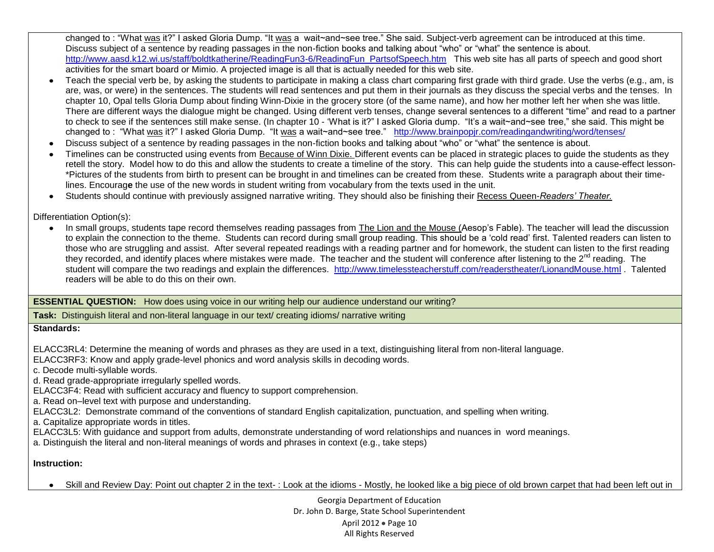changed to : "What was it?" I asked Gloria Dump. "It was a wait~and~see tree." She said. Subject-verb agreement can be introduced at this time. Discuss subject of a sentence by reading passages in the non-fiction books and talking about "who" or "what" the sentence is about. [http://www.aasd.k12.wi.us/staff/boldtkatherine/ReadingFun3-6/ReadingFun\\_PartsofSpeech.htm](http://www.aasd.k12.wi.us/staff/boldtkatherine/ReadingFun3-6/ReadingFun_PartsofSpeech.htm) This web site has all parts of speech and good short activities for the smart board or Mimio. A projected image is all that is actually needed for this web site.

- Teach the special verb be, by asking the students to participate in making a class chart comparing first grade with third grade. Use the verbs (e.g., am, is are, was, or were) in the sentences. The students will read sentences and put them in their journals as they discuss the special verbs and the tenses. In chapter 10, Opal tells Gloria Dump about finding Winn-Dixie in the grocery store (of the same name), and how her mother left her when she was little. There are different ways the dialogue might be changed. Using different verb tenses, change several sentences to a different "time" and read to a partner to check to see if the sentences still make sense. (In chapter 10 - 'What is it?" I asked Gloria dump. "It's a wait~and~see tree," she said. This might be changed to : "What was it?" I asked Gloria Dump. "It was a wait~and~see tree." <http://www.brainpopjr.com/readingandwriting/word/tenses/>
- Discuss subject of a sentence by reading passages in the non-fiction books and talking about "who" or "what" the sentence is about.
- Timelines can be constructed using events from Because of Winn Dixie. Different events can be placed in strategic places to guide the students as they retell the story. Model how to do this and allow the students to create a timeline of the story. This can help guide the students into a cause-effect lesson- \*Pictures of the students from birth to present can be brought in and timelines can be created from these. Students write a paragraph about their timelines. Encourag**e** the use of the new words in student writing from vocabulary from the texts used in the unit.
- Students should continue with previously assigned narrative writing. They should also be finishing their Recess Queen-*Readers' Theater.*  $\bullet$

Differentiation Option(s):

In small groups, students tape record themselves reading passages from The Lion and the Mouse (Aesop's Fable). The teacher will lead the discussion  $\bullet$ to explain the connection to the theme. Students can record during small group reading. This should be a 'cold read' first. Talented readers can listen to those who are struggling and assist. After several repeated readings with a reading partner and for homework, the student can listen to the first reading they recorded, and identify places where mistakes were made. The teacher and the student will conference after listening to the 2<sup>nd</sup> reading. The student will compare the two readings and explain the differences. <http://www.timelessteacherstuff.com/readerstheater/LionandMouse.html> . Talented readers will be able to do this on their own.

**ESSENTIAL QUESTION:** How does using voice in our writing help our audience understand our writing?

**Task:** Distinguish literal and non-literal language in our text/ creating idioms/ narrative writing

## **Standards:**

ELACC3RL4: Determine the meaning of words and phrases as they are used in a text, distinguishing literal from non-literal language.

ELACC3RF3: Know and apply grade-level phonics and word analysis skills in decoding words.

c. Decode multi-syllable words.

d. Read grade-appropriate irregularly spelled words.

ELACC3F4: Read with sufficient accuracy and fluency to support comprehension.

a. Read on–level text with purpose and understanding.

ELACC3L2: Demonstrate command of the conventions of standard English capitalization, punctuation, and spelling when writing.

a. Capitalize appropriate words in titles.

ELACC3L5: With guidance and support from adults, demonstrate understanding of word relationships and nuances in word meanings.

a. Distinguish the literal and non-literal meanings of words and phrases in context (e.g., take steps)

**Instruction:** 

Skill and Review Day: Point out chapter 2 in the text- : Look at the idioms - Mostly, he looked like a big piece of old brown carpet that had been left out in

Georgia Department of Education Dr. John D. Barge, State School Superintendent April 2012 • Page 10 All Rights Reserved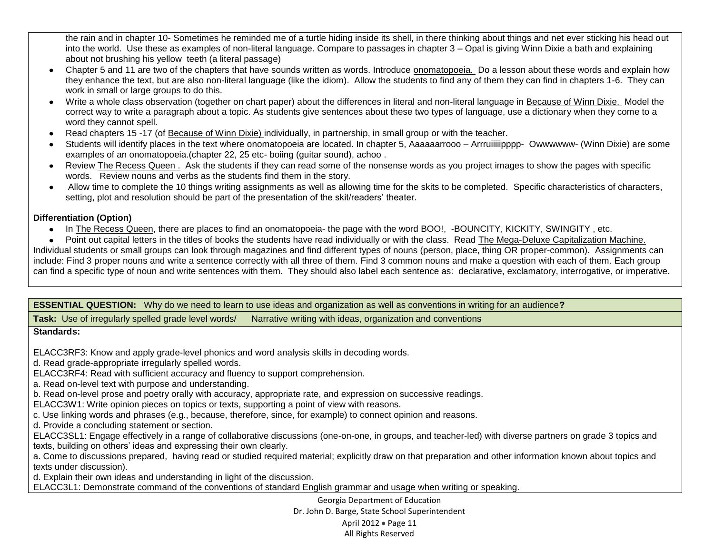the rain and in chapter 10- Sometimes he reminded me of a turtle hiding inside its shell, in there thinking about things and net ever sticking his head out into the world. Use these as examples of non-literal language. Compare to passages in chapter 3 – Opal is giving Winn Dixie a bath and explaining about not brushing his yellow teeth (a literal passage)

- Chapter 5 and 11 are two of the chapters that have sounds written as words. Introduce onomatopoeia. Do a lesson about these words and explain how they enhance the text, but are also non-literal language (like the idiom). Allow the students to find any of them they can find in chapters 1-6. They can work in small or large groups to do this.
- Write a whole class observation (together on chart paper) about the differences in literal and non-literal language in Because of Winn Dixie. Model the correct way to write a paragraph about a topic. As students give sentences about these two types of language, use a dictionary when they come to a word they cannot spell.
- Read chapters 15 -17 (of Because of Winn Dixie) individually, in partnership, in small group or with the teacher.  $\bullet$
- Students will identify places in the text where onomatopoeia are located. In chapter 5, Aaaaaarrooo Arrruiiiiipppp- Owwwwww- (Winn Dixie) are some  $\bullet$ examples of an onomatopoeia.(chapter 22, 25 etc- boiing (guitar sound), achoo .
- Review The Recess Queen . Ask the students if they can read some of the nonsense words as you project images to show the pages with specific words. Review nouns and verbs as the students find them in the story.
- Allow time to complete the 10 things writing assignments as well as allowing time for the skits to be completed. Specific characteristics of characters, setting, plot and resolution should be part of the presentation of the skit/readers' theater.

## **Differentiation (Option)**

• In The Recess Queen, there are places to find an onomatopoeia- the page with the word BOO!, -BOUNCITY, KICKITY, SWINGITY, etc.

Point out capital letters in the titles of books the students have read individually or with the class. Read The Mega-Deluxe Capitalization Machine. Individual students or small groups can look through magazines and find different types of nouns (person, place, thing OR proper-common). Assignments can include: Find 3 proper nouns and write a sentence correctly with all three of them. Find 3 common nouns and make a question with each of them. Each group can find a specific type of noun and write sentences with them. They should also label each sentence as: declarative, exclamatory, interrogative, or imperative.

**ESSENTIAL QUESTION:** Why do we need to learn to use ideas and organization as well as conventions in writing for an audience**?**

**Task:** Use of irregularly spelled grade level words/ Narrative writing with ideas, organization and conventions

## **Standards:**

ELACC3RF3: Know and apply grade-level phonics and word analysis skills in decoding words.

d. Read grade-appropriate irregularly spelled words.

ELACC3RF4: Read with sufficient accuracy and fluency to support comprehension.

a. Read on-level text with purpose and understanding.

b. Read on-level prose and poetry orally with accuracy, appropriate rate, and expression on successive readings.

ELACC3W1: Write opinion pieces on topics or texts, supporting a point of view with reasons.

c. Use linking words and phrases (e.g., because, therefore, since, for example) to connect opinion and reasons.

d. Provide a concluding statement or section.

ELACC3SL1: Engage effectively in a range of collaborative discussions (one-on-one, in groups, and teacher-led) with diverse partners on grade 3 topics and texts, building on others' ideas and expressing their own clearly.

a. Come to discussions prepared, having read or studied required material; explicitly draw on that preparation and other information known about topics and texts under discussion).

d. Explain their own ideas and understanding in light of the discussion.

ELACC3L1: Demonstrate command of the conventions of standard English grammar and usage when writing or speaking.

Georgia Department of Education Dr. John D. Barge, State School Superintendent April 2012 • Page 11 All Rights Reserved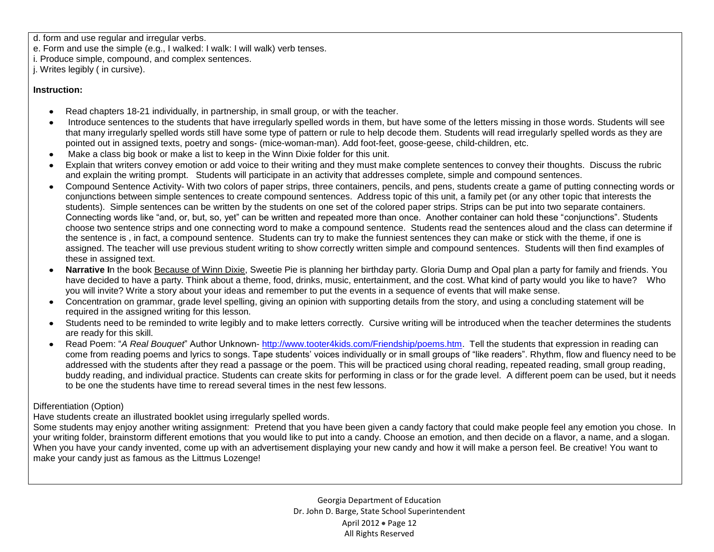d. form and use regular and irregular verbs.

e. Form and use the simple (e.g., I walked: I walk: I will walk) verb tenses.

i. Produce simple, compound, and complex sentences.

j. Writes legibly ( in cursive).

## **Instruction:**

- Read chapters 18-21 individually, in partnership, in small group, or with the teacher.
- Introduce sentences to the students that have irregularly spelled words in them, but have some of the letters missing in those words. Students will see that many irregularly spelled words still have some type of pattern or rule to help decode them. Students will read irregularly spelled words as they are pointed out in assigned texts, poetry and songs- (mice-woman-man). Add foot-feet, goose-geese, child-children, etc.
- Make a class big book or make a list to keep in the Winn Dixie folder for this unit.
- Explain that writers convey emotion or add voice to their writing and they must make complete sentences to convey their thoughts. Discuss the rubric and explain the writing prompt. Students will participate in an activity that addresses complete, simple and compound sentences.
- Compound Sentence Activity- With two colors of paper strips, three containers, pencils, and pens, students create a game of putting connecting words or conjunctions between simple sentences to create compound sentences. Address topic of this unit, a family pet (or any other topic that interests the students). Simple sentences can be written by the students on one set of the colored paper strips. Strips can be put into two separate containers. Connecting words like "and, or, but, so, yet" can be written and repeated more than once. Another container can hold these "conjunctions". Students choose two sentence strips and one connecting word to make a compound sentence. Students read the sentences aloud and the class can determine if the sentence is , in fact, a compound sentence. Students can try to make the funniest sentences they can make or stick with the theme, if one is assigned. The teacher will use previous student writing to show correctly written simple and compound sentences. Students will then find examples of these in assigned text.
- **Narrative I**n the book Because of Winn Dixie, Sweetie Pie is planning her birthday party. Gloria Dump and Opal plan a party for family and friends. You have decided to have a party. Think about a theme, food, drinks, music, entertainment, and the cost. What kind of party would you like to have? Who you will invite? Write a story about your ideas and remember to put the events in a sequence of events that will make sense.
- Concentration on grammar, grade level spelling, giving an opinion with supporting details from the story, and using a concluding statement will be required in the assigned writing for this lesson.
- Students need to be reminded to write legibly and to make letters correctly. Cursive writing will be introduced when the teacher determines the students are ready for this skill.
- Read Poem: "*A Real Bouquet*" Author Unknown- [http://www.tooter4kids.com/Friendship/poems.htm.](http://www.tooter4kids.com/Friendship/poems.htm) Tell the students that expression in reading can  $\bullet$ come from reading poems and lyrics to songs. Tape students' voices individually or in small groups of "like readers". Rhythm, flow and fluency need to be addressed with the students after they read a passage or the poem. This will be practiced using choral reading, repeated reading, small group reading, buddy reading, and individual practice. Students can create skits for performing in class or for the grade level. A different poem can be used, but it needs to be one the students have time to reread several times in the nest few lessons.

## Differentiation (Option)

Have students create an illustrated booklet using irregularly spelled words.

Some students may enjoy another writing assignment: Pretend that you have been given a candy factory that could make people feel any emotion you chose. In your writing folder, brainstorm different emotions that you would like to put into a candy. Choose an emotion, and then decide on a flavor, a name, and a slogan. When you have your candy invented, come up with an advertisement displaying your new candy and how it will make a person feel. Be creative! You want to make your candy just as famous as the Littmus Lozenge!

> Georgia Department of Education Dr. John D. Barge, State School Superintendent April 2012 • Page 12 All Rights Reserved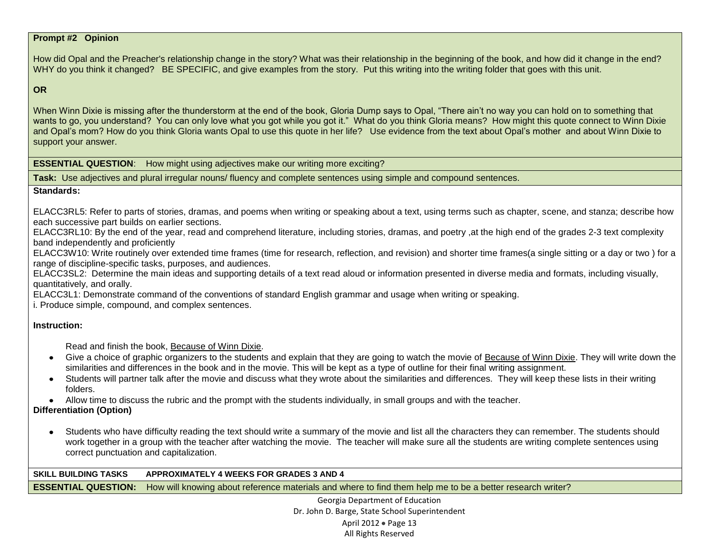#### **Prompt #2 Opinion**

How did Opal and the Preacher's relationship change in the story? What was their relationship in the beginning of the book, and how did it change in the end? WHY do you think it changed? BE SPECIFIC, and give examples from the story. Put this writing into the writing folder that goes with this unit.

#### **OR**

When Winn Dixie is missing after the thunderstorm at the end of the book, Gloria Dump says to Opal, "There ain't no way you can hold on to something that wants to go, you understand? You can only love what you got while you got it." What do you think Gloria means? How might this quote connect to Winn Dixie and Opal's mom? How do you think Gloria wants Opal to use this quote in her life? Use evidence from the text about Opal's mother and about Winn Dixie to support your answer.

**ESSENTIAL QUESTION:** How might using adjectives make our writing more exciting?

**Task:** Use adjectives and plural irregular nouns/ fluency and complete sentences using simple and compound sentences.

#### **Standards:**

ELACC3RL5: Refer to parts of stories, dramas, and poems when writing or speaking about a text, using terms such as chapter, scene, and stanza; describe how each successive part builds on earlier sections.

ELACC3RL10: By the end of the year, read and comprehend literature, including stories, dramas, and poetry ,at the high end of the grades 2-3 text complexity band independently and proficiently

ELACC3W10: Write routinely over extended time frames (time for research, reflection, and revision) and shorter time frames(a single sitting or a day or two ) for a range of discipline-specific tasks, purposes, and audiences.

ELACC3SL2: Determine the main ideas and supporting details of a text read aloud or information presented in diverse media and formats, including visually, quantitatively, and orally.

ELACC3L1: Demonstrate command of the conventions of standard English grammar and usage when writing or speaking.

i. Produce simple, compound, and complex sentences.

#### **Instruction:**

Read and finish the book, Because of Winn Dixie.

- Give a choice of graphic organizers to the students and explain that they are going to watch the movie of Because of Winn Dixie. They will write down the similarities and differences in the book and in the movie. This will be kept as a type of outline for their final writing assignment.
- Students will partner talk after the movie and discuss what they wrote about the similarities and differences. They will keep these lists in their writing folders.

Allow time to discuss the rubric and the prompt with the students individually, in small groups and with the teacher.

## **Differentiation (Option)**

Students who have difficulty reading the text should write a summary of the movie and list all the characters they can remember. The students should work together in a group with the teacher after watching the movie. The teacher will make sure all the students are writing complete sentences using correct punctuation and capitalization.

#### **SKILL BUILDING TASKS APPROXIMATELY 4 WEEKS FOR GRADES 3 AND 4**

**ESSENTIAL QUESTION:** How will knowing about reference materials and where to find them help me to be a better research writer?

Georgia Department of Education Dr. John D. Barge, State School Superintendent April 2012 • Page 13 All Rights Reserved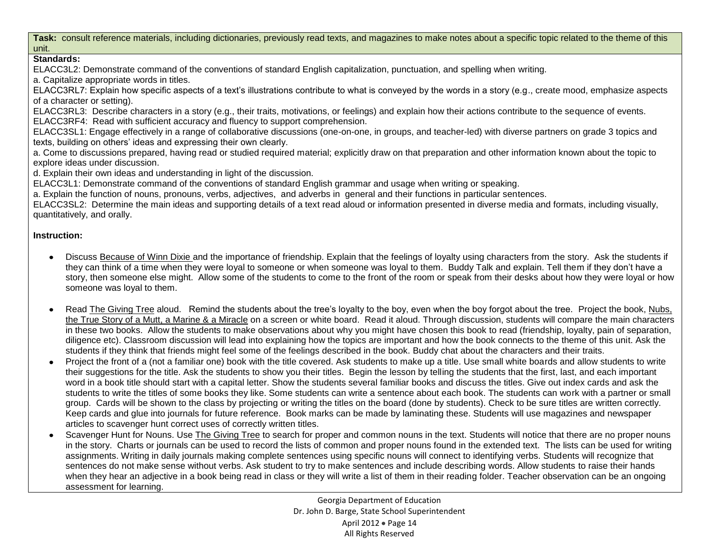**Task:** consult reference materials, including dictionaries, previously read texts, and magazines to make notes about a specific topic related to the theme of this unit.

## **Standards:**

ELACC3L2: Demonstrate command of the conventions of standard English capitalization, punctuation, and spelling when writing.

a. Capitalize appropriate words in titles.

ELACC3RL7: Explain how specific aspects of a text's illustrations contribute to what is conveyed by the words in a story (e.g., create mood, emphasize aspects of a character or setting).

ELACC3RL3: Describe characters in a story (e.g., their traits, motivations, or feelings) and explain how their actions contribute to the sequence of events. ELACC3RF4: Read with sufficient accuracy and fluency to support comprehension.

ELACC3SL1: Engage effectively in a range of collaborative discussions (one-on-one, in groups, and teacher-led) with diverse partners on grade 3 topics and texts, building on others' ideas and expressing their own clearly.

a. Come to discussions prepared, having read or studied required material; explicitly draw on that preparation and other information known about the topic to explore ideas under discussion.

d. Explain their own ideas and understanding in light of the discussion.

ELACC3L1: Demonstrate command of the conventions of standard English grammar and usage when writing or speaking.

a. Explain the function of nouns, pronouns, verbs, adjectives, and adverbs in general and their functions in particular sentences.

ELACC3SL2: Determine the main ideas and supporting details of a text read aloud or information presented in diverse media and formats, including visually, quantitatively, and orally.

## **Instruction:**

- Discuss Because of Winn Dixie and the importance of friendship. Explain that the feelings of loyalty using characters from the story. Ask the students if  $\bullet$ they can think of a time when they were loyal to someone or when someone was loyal to them. Buddy Talk and explain. Tell them if they don't have a story, then someone else might. Allow some of the students to come to the front of the room or speak from their desks about how they were loyal or how someone was loyal to them.
- $\bullet$ Read The Giving Tree aloud. Remind the students about the tree's loyalty to the boy, even when the boy forgot about the tree. Project the book, Nubs, the True Story of a Mutt, a Marine & a Miracle on a screen or white board. Read it aloud. Through discussion, students will compare the main characters in these two books. Allow the students to make observations about why you might have chosen this book to read (friendship, loyalty, pain of separation, diligence etc). Classroom discussion will lead into explaining how the topics are important and how the book connects to the theme of this unit. Ask the students if they think that friends might feel some of the feelings described in the book. Buddy chat about the characters and their traits.
- Project the front of a (not a familiar one) book with the title covered. Ask students to make up a title. Use small white boards and allow students to write their suggestions for the title. Ask the students to show you their titles. Begin the lesson by telling the students that the first, last, and each important word in a book title should start with a capital letter. Show the students several familiar books and discuss the titles. Give out index cards and ask the students to write the titles of some books they like. Some students can write a sentence about each book. The students can work with a partner or small group. Cards will be shown to the class by projecting or writing the titles on the board (done by students). Check to be sure titles are written correctly. Keep cards and glue into journals for future reference. Book marks can be made by laminating these. Students will use magazines and newspaper articles to scavenger hunt correct uses of correctly written titles.
- Scavenger Hunt for Nouns. Use The Giving Tree to search for proper and common nouns in the text. Students will notice that there are no proper nouns in the story. Charts or journals can be used to record the lists of common and proper nouns found in the extended text. The lists can be used for writing assignments. Writing in daily journals making complete sentences using specific nouns will connect to identifying verbs. Students will recognize that sentences do not make sense without verbs. Ask student to try to make sentences and include describing words. Allow students to raise their hands when they hear an adjective in a book being read in class or they will write a list of them in their reading folder. Teacher observation can be an ongoing assessment for learning.

Georgia Department of Education Dr. John D. Barge, State School Superintendent April 2012 • Page 14 All Rights Reserved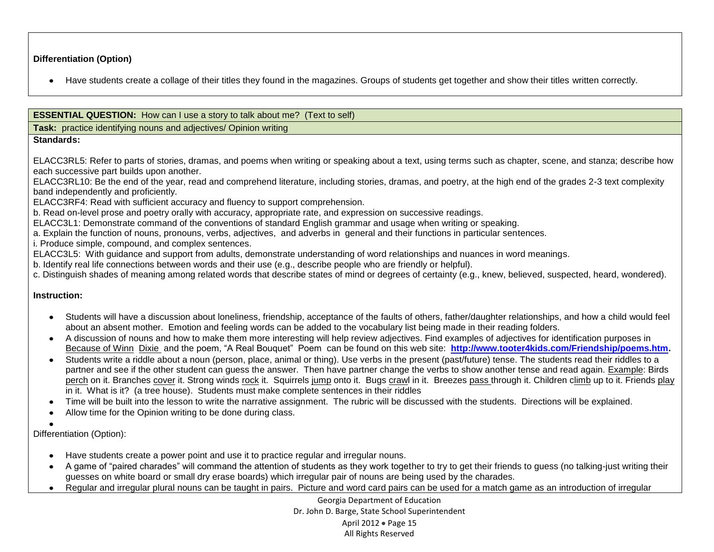## **Differentiation (Option)**

Have students create a collage of their titles they found in the magazines. Groups of students get together and show their titles written correctly.

## **ESSENTIAL QUESTION:** How can I use a story to talk about me? (Text to self)

**Task:** practice identifying nouns and adjectives/ Opinion writing

#### **Standards:**

ELACC3RL5: Refer to parts of stories, dramas, and poems when writing or speaking about a text, using terms such as chapter, scene, and stanza; describe how each successive part builds upon another.

ELACC3RL10: Be the end of the year, read and comprehend literature, including stories, dramas, and poetry, at the high end of the grades 2-3 text complexity band independently and proficiently.

ELACC3RF4: Read with sufficient accuracy and fluency to support comprehension.

b. Read on-level prose and poetry orally with accuracy, appropriate rate, and expression on successive readings.

ELACC3L1: Demonstrate command of the conventions of standard English grammar and usage when writing or speaking.

a. Explain the function of nouns, pronouns, verbs, adjectives, and adverbs in general and their functions in particular sentences.

i. Produce simple, compound, and complex sentences.

ELACC3L5: With guidance and support from adults, demonstrate understanding of word relationships and nuances in word meanings.

b. Identify real life connections between words and their use (e.g., describe people who are friendly or helpful).

c. Distinguish shades of meaning among related words that describe states of mind or degrees of certainty (e.g., knew, believed, suspected, heard, wondered).

## **Instruction:**

- Students will have a discussion about loneliness, friendship, acceptance of the faults of others, father/daughter relationships, and how a child would feel about an absent mother. Emotion and feeling words can be added to the vocabulary list being made in their reading folders.
- A discussion of nouns and how to make them more interesting will help review adjectives. Find examples of adjectives for identification purposes in Because of Winn Dixie and the poem, "A Real Bouquet" Poem can be found on this web site: **[http://www.tooter4kids.com/Friendship/poems.htm.](http://www.tooter4kids.com/Friendship/poems.htm)**
- Students write a riddle about a noun (person, place, animal or thing). Use verbs in the present (past/future) tense. The students read their riddles to a partner and see if the other student can guess the answer. Then have partner change the verbs to show another tense and read again. Example: Birds perch on it. Branches cover it. Strong winds rock it. Squirrels jump onto it. Bugs crawl in it. Breezes pass through it. Children climb up to it. Friends play in it. What is it? (a tree house). Students must make complete sentences in their riddles
- Time will be built into the lesson to write the narrative assignment. The rubric will be discussed with the students. Directions will be explained.
- Allow time for the Opinion writing to be done during class.  $\bullet$

Differentiation (Option):

- Have students create a power point and use it to practice regular and irregular nouns.
- A game of "paired charades" will command the attention of students as they work together to try to get their friends to guess (no talking-just writing their guesses on white board or small dry erase boards) which irregular pair of nouns are being used by the charades.
- Regular and irregular plural nouns can be taught in pairs. Picture and word card pairs can be used for a match game as an introduction of irregular

Georgia Department of Education Dr. John D. Barge, State School Superintendent April 2012 • Page 15 All Rights Reserved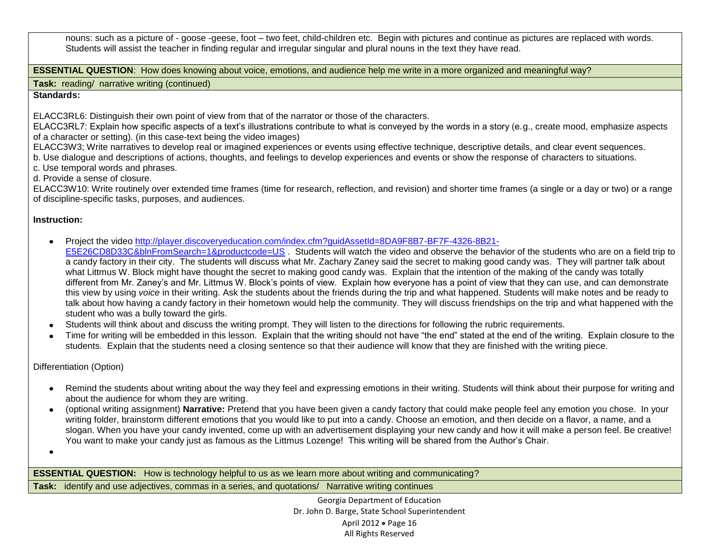nouns: such as a picture of - goose -geese, foot – two feet, child-children etc. Begin with pictures and continue as pictures are replaced with words. Students will assist the teacher in finding regular and irregular singular and plural nouns in the text they have read.

**ESSENTIAL QUESTION:** How does knowing about voice, emotions, and audience help me write in a more organized and meaningful way?

**Task:** reading/ narrative writing (continued)

## **Standards:**

ELACC3RL6: Distinguish their own point of view from that of the narrator or those of the characters.

ELACC3RL7: Explain how specific aspects of a text's illustrations contribute to what is conveyed by the words in a story (e.g., create mood, emphasize aspects of a character or setting). (in this case-text being the video images)

ELACC3W3; Write narratives to develop real or imagined experiences or events using effective technique, descriptive details, and clear event sequences.

- b. Use dialogue and descriptions of actions, thoughts, and feelings to develop experiences and events or show the response of characters to situations.
- c. Use temporal words and phrases.
- d. Provide a sense of closure.

ELACC3W10: Write routinely over extended time frames (time for research, reflection, and revision) and shorter time frames (a single or a day or two) or a range of discipline-specific tasks, purposes, and audiences.

## **Instruction:**

- Project the video [http://player.discoveryeducation.com/index.cfm?guidAssetId=8DA9F8B7-BF7F-4326-8B21-](http://player.discoveryeducation.com/index.cfm?guidAssetId=8DA9F8B7-BF7F-4326-8B21-E5E26CD8D33C&blnFromSearch=1&productcode=US)  $\bullet$
- [E5E26CD8D33C&blnFromSearch=1&productcode=US](http://player.discoveryeducation.com/index.cfm?guidAssetId=8DA9F8B7-BF7F-4326-8B21-E5E26CD8D33C&blnFromSearch=1&productcode=US) . Students will watch the video and observe the behavior of the students who are on a field trip to a candy factory in their city. The students will discuss what Mr. Zachary Zaney said the secret to making good candy was. They will partner talk about what Littmus W. Block might have thought the secret to making good candy was. Explain that the intention of the making of the candy was totally different from Mr. Zaney's and Mr. Littmus W. Block's points of view. Explain how everyone has a point of view that they can use, and can demonstrate this view by using *voice* in their writing. Ask the students about the friends during the trip and what happened. Students will make notes and be ready to talk about how having a candy factory in their hometown would help the community. They will discuss friendships on the trip and what happened with the student who was a bully toward the girls.
- Students will think about and discuss the writing prompt. They will listen to the directions for following the rubric requirements.
- Time for writing will be embedded in this lesson. Explain that the writing should not have "the end" stated at the end of the writing. Explain closure to the students. Explain that the students need a closing sentence so that their audience will know that they are finished with the writing piece.

Differentiation (Option)

- Remind the students about writing about the way they feel and expressing emotions in their writing. Students will think about their purpose for writing and about the audience for whom they are writing.
- (optional writing assignment) **Narrative:** Pretend that you have been given a candy factory that could make people feel any emotion you chose. In your  $\bullet$ writing folder, brainstorm different emotions that you would like to put into a candy. Choose an emotion, and then decide on a flavor, a name, and a slogan. When you have your candy invented, come up with an advertisement displaying your new candy and how it will make a person feel. Be creative! You want to make your candy just as famous as the Littmus Lozenge! This writing will be shared from the Author's Chair.

 $\bullet$ 

**ESSENTIAL QUESTION:** How is technology helpful to us as we learn more about writing and communicating?

**Task:** identify and use adjectives, commas in a series, and quotations/ Narrative writing continues

Georgia Department of Education Dr. John D. Barge, State School Superintendent April 2012 • Page 16 All Rights Reserved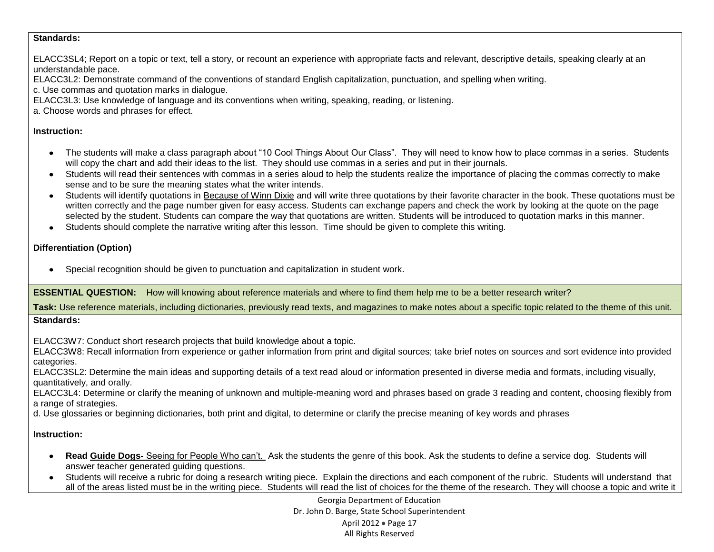#### **Standards:**

ELACC3SL4; Report on a topic or text, tell a story, or recount an experience with appropriate facts and relevant, descriptive details, speaking clearly at an understandable pace.

ELACC3L2: Demonstrate command of the conventions of standard English capitalization, punctuation, and spelling when writing.

c. Use commas and quotation marks in dialogue.

ELACC3L3: Use knowledge of language and its conventions when writing, speaking, reading, or listening.

a. Choose words and phrases for effect.

## **Instruction:**

- The students will make a class paragraph about "10 Cool Things About Our Class". They will need to know how to place commas in a series. Students will copy the chart and add their ideas to the list. They should use commas in a series and put in their journals.
- Students will read their sentences with commas in a series aloud to help the students realize the importance of placing the commas correctly to make sense and to be sure the meaning states what the writer intends.
- Students will identify quotations in Because of Winn Dixie and will write three quotations by their favorite character in the book. These quotations must be written correctly and the page number given for easy access. Students can exchange papers and check the work by looking at the quote on the page selected by the student. Students can compare the way that quotations are written. Students will be introduced to quotation marks in this manner.
- Students should complete the narrative writing after this lesson. Time should be given to complete this writing.

## **Differentiation (Option)**

Special recognition should be given to punctuation and capitalization in student work.

**ESSENTIAL QUESTION:** How will knowing about reference materials and where to find them help me to be a better research writer?

Task: Use reference materials, including dictionaries, previously read texts, and magazines to make notes about a specific topic related to the theme of this unit. **Standards:** 

ELACC3W7: Conduct short research projects that build knowledge about a topic.

ELACC3W8: Recall information from experience or gather information from print and digital sources; take brief notes on sources and sort evidence into provided categories.

ELACC3SL2: Determine the main ideas and supporting details of a text read aloud or information presented in diverse media and formats, including visually, quantitatively, and orally.

ELACC3L4: Determine or clarify the meaning of unknown and multiple-meaning word and phrases based on grade 3 reading and content, choosing flexibly from a range of strategies.

d. Use glossaries or beginning dictionaries, both print and digital, to determine or clarify the precise meaning of key words and phrases

## **Instruction:**

- $\bullet$ **Read Guide Dogs-** Seeing for People Who can't. Ask the students the genre of this book. Ask the students to define a service dog. Students will answer teacher generated guiding questions.
- Students will receive a rubric for doing a research writing piece. Explain the directions and each component of the rubric. Students will understand that  $\bullet$ all of the areas listed must be in the writing piece. Students will read the list of choices for the theme of the research. They will choose a topic and write it

Georgia Department of Education Dr. John D. Barge, State School Superintendent April 2012 · Page 17 All Rights Reserved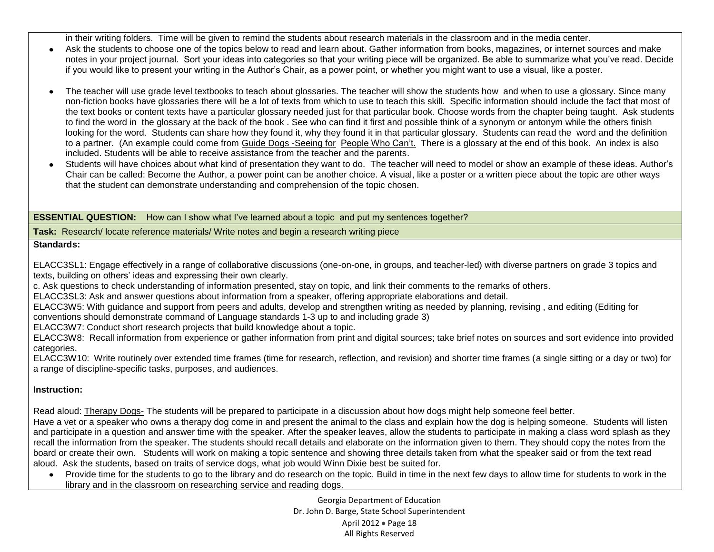in their writing folders. Time will be given to remind the students about research materials in the classroom and in the media center.

- Ask the students to choose one of the topics below to read and learn about. Gather information from books, magazines, or internet sources and make  $\bullet$ notes in your project journal. Sort your ideas into categories so that your writing piece will be organized. Be able to summarize what you've read. Decide if you would like to present your writing in the Author's Chair, as a power point, or whether you might want to use a visual, like a poster.
- The teacher will use grade level textbooks to teach about glossaries. The teacher will show the students how and when to use a glossary. Since many  $\bullet$ non-fiction books have glossaries there will be a lot of texts from which to use to teach this skill. Specific information should include the fact that most of the text books or content texts have a particular glossary needed just for that particular book. Choose words from the chapter being taught. Ask students to find the word in the glossary at the back of the book . See who can find it first and possible think of a synonym or antonym while the others finish looking for the word. Students can share how they found it, why they found it in that particular glossary. Students can read the word and the definition to a partner. (An example could come from Guide Dogs -Seeing for People Who Can't. There is a glossary at the end of this book. An index is also included. Students will be able to receive assistance from the teacher and the parents.
- $\bullet$ Students will have choices about what kind of presentation they want to do. The teacher will need to model or show an example of these ideas. Author's Chair can be called: Become the Author, a power point can be another choice. A visual, like a poster or a written piece about the topic are other ways that the student can demonstrate understanding and comprehension of the topic chosen.

**ESSENTIAL QUESTION:** How can I show what I've learned about a topic and put my sentences together?

**Task:** Research/ locate reference materials/ Write notes and begin a research writing piece

## **Standards:**

ELACC3SL1: Engage effectively in a range of collaborative discussions (one-on-one, in groups, and teacher-led) with diverse partners on grade 3 topics and texts, building on others' ideas and expressing their own clearly.

c. Ask questions to check understanding of information presented, stay on topic, and link their comments to the remarks of others.

ELACC3SL3: Ask and answer questions about information from a speaker, offering appropriate elaborations and detail.

ELACC3W5: With guidance and support from peers and adults, develop and strengthen writing as needed by planning, revising , and editing (Editing for

conventions should demonstrate command of Language standards 1-3 up to and including grade 3)

ELACC3W7: Conduct short research projects that build knowledge about a topic.

ELACC3W8: Recall information from experience or gather information from print and digital sources; take brief notes on sources and sort evidence into provided categories.

ELACC3W10: Write routinely over extended time frames (time for research, reflection, and revision) and shorter time frames (a single sitting or a day or two) for a range of discipline-specific tasks, purposes, and audiences.

## **Instruction:**

Read aloud: Therapy Dogs- The students will be prepared to participate in a discussion about how dogs might help someone feel better.

Have a vet or a speaker who owns a therapy dog come in and present the animal to the class and explain how the dog is helping someone. Students will listen and participate in a question and answer time with the speaker. After the speaker leaves, allow the students to participate in making a class word splash as they recall the information from the speaker. The students should recall details and elaborate on the information given to them. They should copy the notes from the board or create their own. Students will work on making a topic sentence and showing three details taken from what the speaker said or from the text read aloud. Ask the students, based on traits of service dogs, what job would Winn Dixie best be suited for.

Provide time for the students to go to the library and do research on the topic. Build in time in the next few days to allow time for students to work in the  $\bullet$ library and in the classroom on researching service and reading dogs.

> Georgia Department of Education Dr. John D. Barge, State School Superintendent April 2012 • Page 18 All Rights Reserved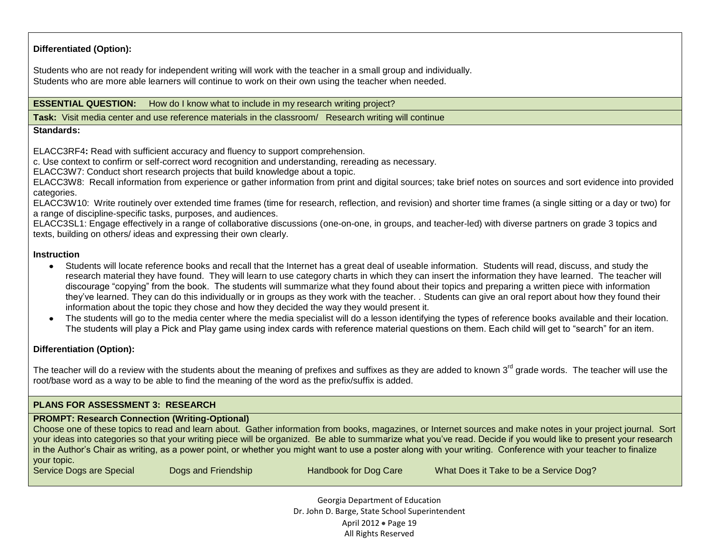## **Differentiated (Option):**

Students who are not ready for independent writing will work with the teacher in a small group and individually. Students who are more able learners will continue to work on their own using the teacher when needed.

#### **ESSENTIAL QUESTION:** How do I know what to include in my research writing project?

**Task:** Visit media center and use reference materials in the classroom/ Research writing will continue

#### **Standards:**

ELACC3RF4**:** Read with sufficient accuracy and fluency to support comprehension.

c. Use context to confirm or self-correct word recognition and understanding, rereading as necessary.

ELACC3W7: Conduct short research projects that build knowledge about a topic.

ELACC3W8: Recall information from experience or gather information from print and digital sources; take brief notes on sources and sort evidence into provided categories.

ELACC3W10: Write routinely over extended time frames (time for research, reflection, and revision) and shorter time frames (a single sitting or a day or two) for a range of discipline-specific tasks, purposes, and audiences.

ELACC3SL1: Engage effectively in a range of collaborative discussions (one-on-one, in groups, and teacher-led) with diverse partners on grade 3 topics and texts, building on others/ ideas and expressing their own clearly.

#### **Instruction**

- Students will locate reference books and recall that the Internet has a great deal of useable information. Students will read, discuss, and study the research material they have found. They will learn to use category charts in which they can insert the information they have learned. The teacher will discourage "copying" from the book. The students will summarize what they found about their topics and preparing a written piece with information they've learned. They can do this individually or in groups as they work with the teacher. . Students can give an oral report about how they found their information about the topic they chose and how they decided the way they would present it.
- The students will go to the media center where the media specialist will do a lesson identifying the types of reference books available and their location. The students will play a Pick and Play game using index cards with reference material questions on them. Each child will get to "search" for an item.

#### **Differentiation (Option):**

The teacher will do a review with the students about the meaning of prefixes and suffixes as they are added to known  $3<sup>rd</sup>$  grade words. The teacher will use the root/base word as a way to be able to find the meaning of the word as the prefix/suffix is added.

## **PLANS FOR ASSESSMENT 3: RESEARCH**

#### **PROMPT: Research Connection (Writing-Optional)**

Choose one of these topics to read and learn about. Gather information from books, magazines, or Internet sources and make notes in your project journal. Sort your ideas into categories so that your writing piece will be organized. Be able to summarize what you've read. Decide if you would like to present your research in the Author's Chair as writing, as a power point, or whether you might want to use a poster along with your writing. Conference with your teacher to finalize your topic.

Service Dogs are Special Dogs and Friendship Handbook for Dog Care What Does it Take to be a Service Dog?

Georgia Department of Education Dr. John D. Barge, State School Superintendent April 2012 • Page 19 All Rights Reserved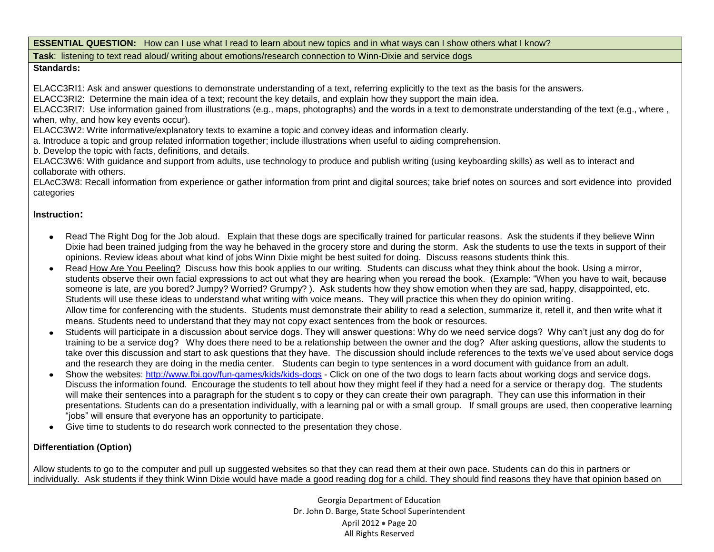**ESSENTIAL QUESTION:** How can I use what I read to learn about new topics and in what ways can I show others what I know?

**Task**: listening to text read aloud/ writing about emotions/research connection to Winn-Dixie and service dogs

## **Standards:**

ELACC3RI1: Ask and answer questions to demonstrate understanding of a text, referring explicitly to the text as the basis for the answers.

ELACC3RI2: Determine the main idea of a text; recount the key details, and explain how they support the main idea.

ELACC3RI7: Use information gained from illustrations (e.g., maps, photographs) and the words in a text to demonstrate understanding of the text (e.g., where , when, why, and how key events occur).

ELACC3W2: Write informative/explanatory texts to examine a topic and convey ideas and information clearly.

a. Introduce a topic and group related information together; include illustrations when useful to aiding comprehension.

b. Develop the topic with facts, definitions, and details.

ELACC3W6: With guidance and support from adults, use technology to produce and publish writing (using keyboarding skills) as well as to interact and collaborate with others.

ELAcC3W8: Recall information from experience or gather information from print and digital sources; take brief notes on sources and sort evidence into provided categories

## **Instruction:**

- Read The Right Dog for the Job aloud. Explain that these dogs are specifically trained for particular reasons. Ask the students if they believe Winn Dixie had been trained judging from the way he behaved in the grocery store and during the storm. Ask the students to use the texts in support of their opinions. Review ideas about what kind of jobs Winn Dixie might be best suited for doing. Discuss reasons students think this.
- Read How Are You Peeling? Discuss how this book applies to our writing. Students can discuss what they think about the book. Using a mirror,  $\bullet$ students observe their own facial expressions to act out what they are hearing when you reread the book. (Example: "When you have to wait, because someone is late, are you bored? Jumpy? Worried? Grumpy? ). Ask students how they show emotion when they are sad, happy, disappointed, etc. Students will use these ideas to understand what writing with voice means. They will practice this when they do opinion writing. Allow time for conferencing with the students. Students must demonstrate their ability to read a selection, summarize it, retell it, and then write what it means. Students need to understand that they may not copy exact sentences from the book or resources.
- Students will participate in a discussion about service dogs. They will answer questions: Why do we need service dogs? Why can't just any dog do for training to be a service dog? Why does there need to be a relationship between the owner and the dog?After asking questions, allow the students to take over this discussion and start to ask questions that they have. The discussion should include references to the texts we've used about service dogs and the research they are doing in the media center. Students can begin to type sentences in a word document with guidance from an adult.
- Show the websites:<http://www.fbi.gov/fun-games/kids/kids-dogs> Click on one of the two dogs to learn facts about working dogs and service dogs. Discuss the information found. Encourage the students to tell about how they might feel if they had a need for a service or therapy dog. The students will make their sentences into a paragraph for the student s to copy or they can create their own paragraph. They can use this information in their presentations. Students can do a presentation individually, with a learning pal or with a small group. If small groups are used, then cooperative learning "jobs" will ensure that everyone has an opportunity to participate.
- Give time to students to do research work connected to the presentation they chose.  $\bullet$

## **Differentiation (Option)**

Allow students to go to the computer and pull up suggested websites so that they can read them at their own pace. Students can do this in partners or individually. Ask students if they think Winn Dixie would have made a good reading dog for a child. They should find reasons they have that opinion based on

> Georgia Department of Education Dr. John D. Barge, State School Superintendent April 2012 • Page 20 All Rights Reserved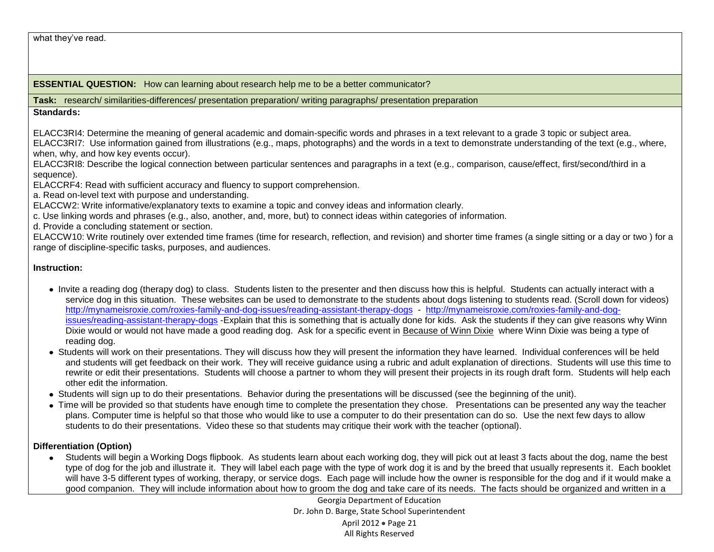what they've read.

**ESSENTIAL QUESTION:** How can learning about research help me to be a better communicator?

**Task:** research/ similarities-differences/ presentation preparation/ writing paragraphs/ presentation preparation

## **Standards:**

ELACC3RI4: Determine the meaning of general academic and domain-specific words and phrases in a text relevant to a grade 3 topic or subject area. ELACC3RI7: Use information gained from illustrations (e.g., maps, photographs) and the words in a text to demonstrate understanding of the text (e.g., where, when, why, and how key events occur).

ELACC3RI8: Describe the logical connection between particular sentences and paragraphs in a text (e.g., comparison, cause/effect, first/second/third in a sequence).

ELACCRF4: Read with sufficient accuracy and fluency to support comprehension.

a. Read on-level text with purpose and understanding.

ELACCW2: Write informative/explanatory texts to examine a topic and convey ideas and information clearly.

c. Use linking words and phrases (e.g., also, another, and, more, but) to connect ideas within categories of information.

d. Provide a concluding statement or section.

ELACCW10: Write routinely over extended time frames (time for research, reflection, and revision) and shorter time frames (a single sitting or a day or two ) for a range of discipline-specific tasks, purposes, and audiences.

## **Instruction:**

- Invite a reading dog (therapy dog) to class. Students listen to the presenter and then discuss how this is helpful. Students can actually interact with a service dog in this situation. These websites can be used to demonstrate to the students about dogs listening to students read. (Scroll down for videos) <http://mynameisroxie.com/roxies-family-and-dog-issues/reading-assistant-therapy-dogs>- [http://mynameisroxie.com/roxies-family-and-dog](http://mynameisroxie.com/roxies-family-and-dog-issues/reading-assistant-therapy-dogs)[issues/reading-assistant-therapy-dogs](http://mynameisroxie.com/roxies-family-and-dog-issues/reading-assistant-therapy-dogs) -Explain that this is something that is actually done for kids. Ask the students if they can give reasons why Winn Dixie would or would not have made a good reading dog. Ask for a specific event in Because of Winn Dixie where Winn Dixie was being a type of reading dog.
- Students will work on their presentations. They will discuss how they will present the information they have learned. Individual conferences will be held and students will get feedback on their work. They will receive guidance using a rubric and adult explanation of directions. Students will use this time to rewrite or edit their presentations. Students will choose a partner to whom they will present their projects in its rough draft form. Students will help each other edit the information.
- Students will sign up to do their presentations. Behavior during the presentations will be discussed (see the beginning of the unit).
- Time will be provided so that students have enough time to complete the presentation they chose. Presentations can be presented any way the teacher plans. Computer time is helpful so that those who would like to use a computer to do their presentation can do so. Use the next few days to allow students to do their presentations. Video these so that students may critique their work with the teacher (optional).

## **Differentiation (Option)**

Students will begin a Working Dogs flipbook. As students learn about each working dog, they will pick out at least 3 facts about the dog, name the best type of dog for the job and illustrate it. They will label each page with the type of work dog it is and by the breed that usually represents it. Each booklet will have 3-5 different types of working, therapy, or service dogs. Each page will include how the owner is responsible for the dog and if it would make a good companion. They will include information about how to groom the dog and take care of its needs. The facts should be organized and written in a

> Georgia Department of Education Dr. John D. Barge, State School Superintendent April 2012 • Page 21 All Rights Reserved